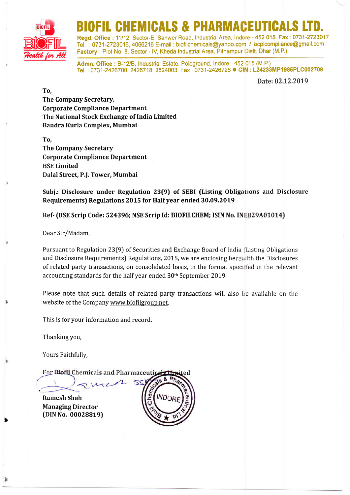

# BIO FINICAT

Tel. : 0731-2723016, 4066216 E-mail : biofilchemicals@yahoo.com / bcplcompliance@gmail.com Factory : Plot No. 8, Sector - IV, Kheda Industrial Area, Pithampur Distt. Dhar (M.P.) Regd. Office: 11/12, Sector-E, Sanwer Road, Industrial Area, Indore - 452 015. Fax: 0731-2723017

Admn. Office: B-12/B, Industrial Estate, Pologround, Indore - 452 015 (M.P.) Admin: Onice : B-12/5, industrial Estate, Pologrodnu, Indole - 452,915 (M.P.)<br>Tel. : 0731-2426700, 2426718, 2524003, Fax : 0731-2426726 ● CIN **: L24233MP1985PLC002709** 

Date:02.12.2019

To, The Company Secretary, Corporate Compliance Department The National Stock Exchange of India Limited Bandra Kurla Complex, Mumbai

To, The Company Secretary Corporate Compliance Department BSE Limited Dalal Street, P.J. Tower, Mumbai

Subj.: Disclosure under Regulation 23(9) of SEBI (Listing Obligations and Disclosure Requirements) Regulations 2015 for Half year ended 30.09.2019

Ref- (BSE Scrip Code: 524396; NSE Scrip Id: BIOFILCHEM; ISIN No. IN<mark>E</mark>829A01014)

Dear Sir/Madam,

Pursuant to Regulation 23(9) of Securities and Exchange Board of India (Listing Obligations and Disclosure Requirements) Regulations, 2015, we are enclosing here with the Disclosures of related party transactions, on consolidated basis, in the format specified in the relevant accounting standards for the half year ended 30<sup>th</sup> September 2019.

Please note that such details of related party transactions will also be available on the website of the Company www.biofilgroup.net.

This is for your information and record.

Thanking you,

Yours Faithfully,

For Biofil Chemicals and Pharmaceutica

Ramesh Shah Managing Director (DIN No. 00028819)

,

a)